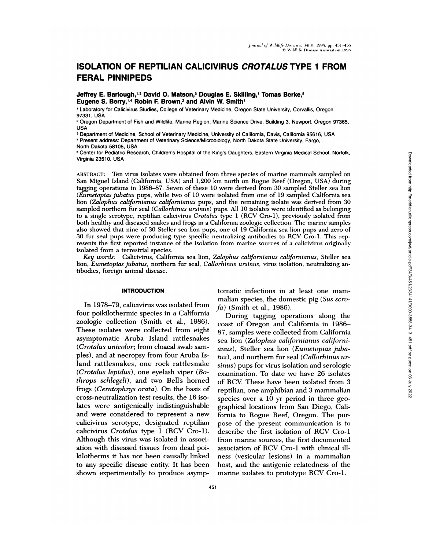# **ISOLATION OF REPTILIAN CALICIVIRUS CROTALUS TYPE 1 FROM FERAL PINNIPEDS**

Jeffrey E. Barlough,<sup>1,3</sup> David O. Matson,<sup>5</sup> Douglas E. Skilling,<sup>1</sup> Tomas Berke,<sup>5</sup> Eugene S. Berry,<sup>14</sup> Robin F. Brown,<sup>2</sup> and Alvin W. Smith<sup>1</sup>

1 Laboratory for Calicivirus Studies, College of Veterinary Medicine, Oregon State University, Corvallis, Oregon 97331, USA

<sup>2</sup> Oregon Department of Fish and Wildlife, Marine Region, Marine Science Drive, Building 3, Newport, Oregon 97365, **USA** 

<sup>3</sup> Department of Medicine, School of Veterinary Medicine, University of California, Davis, California 95616, USA Present address: Department of Veterinary Science/Microbiology, North Dakota State University, Fargo,

North Dakota 58105, USA

<sup>5</sup> Center for Pediatric Research, Children's Hospital of the King's Daughters, Eastern Virginia Medical School, Norfolk, Virginia 23510, USA

ABSTRACT: Ten virus isolates were obtained from three species of marine mammals sampled on San Miguel Island (California, USA) and 1,200 km north on Rogue Reef (Oregon, USA) during tagging operations in 1986–87. Seven of these 10 were derived from 30 sampled Steller sea lion (Eumetopias jubatus pups, while two of 10 were isolated from one of 19 sampled California sea lion (Zalophus californianus californianus pups, and the remaining isolate was derived from 30 sampled northern fur seal (Callorhinus ursinus) pups. All 10 isolates were identified as belonging to a single serotype, reptilian calicivirus Crotalus type 1 (RCV Cro-1), previously isolated from both healthy and diseased snakes and frogs in a California zoologic collection. The marine samples also showed that nine of 30 Steller sea lion pups, one of 19 California sea lion pups and zero of 30 fur seal pups were producing type specific neutralizing antibodies to RCV Cro-1. This represents the first reported instance of the isolation from marine sources of a calicivirus originally isolated from a terrestrial species.

Key words: Calicivirus, California sea lion, Zalophus californianus californianus, Steller sea lion, Eumetopias jubatus, northern fur seal, Callorhinus ursinus, virus isolation, neutralizing antibodies, foreign animal disease.

# **INTRODUCTION**

In 1978-79, calicivirus was isolated from four poikilothermic species in a California zoologic collection (Smith et al., 1986). These isolates were collected from eight asymptomatic Aruba Island rattlesnakes (Crotalus unicolor; from cloacal swab samples), and at necropsy from four Aruba Island rattlesnakes, one rock rattlesnake (*Crotalus lepidus*), one eyelash viper (*Bo*throps schlegeli), and two Bell's horned frogs (Ceratophrys orata). On the basis of cross-neutralization test results, the 16 isolates were antigenically indistinguishable and were considered to represent a new calicivirus serotype, designated reptilian calicivirus Crotalus type 1 (RCV Cro-1). Although this virus was isolated in association with diseased tissues from dead poikilotherms it has not been causally linked to any specific disease entity. It has been shown experimentally to produce asymptomatic infections in at least one mammalian species, the domestic pig (Sus scro $fa)$  (Smith et al., 1986).

During tagging operations along the coast of Oregon and California in 1986-87, samples were collected from California sea lion (Zalophus californianus californianus), Steller sea lion (Eumetopias jubatus), and northern fur seal (Callorhinus ursinus) pups for virus isolation and serologic examination. To date we have 26 isolates of RCV. These have been isolated from 3 reptilian, one amphibian and 3 mammalian species over a 10 yr period in three geographical locations from San Diego, California to Rogue Reef, Oregon. The purpose of the present communication is to describe the first isolation of RCV Cro-1 from marine sources, the first documented association of RCV Cro-1 with clinical illness (vesicular lesions) in a mammalian host, and the antigenic relatedness of the marine isolates to prototype RCV Cro-1.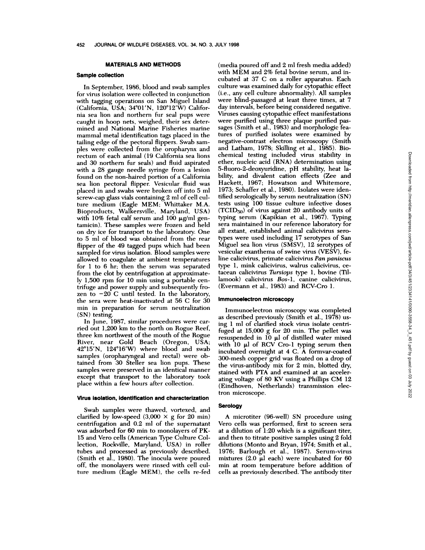# **MATERIALS AND METHODS**

# **Sample collection**

In September, 1986, blood and swab samples for virus isolation were collected in conjunction with tagging operations on San Miguel Island (California, USA;  $34^{\circ}01'N$ ,  $120^{\circ}12'W$ ) California sea lion and northern fur seal pups were caught in hoop nets, weighed, their sex determined and National Marine Fisheries marine mammal metal identification tags placed in the tailing edge of the pectoral flippers. Swab sam ples were collected from the oropharynx and rectum of each animal (19 California sea lions and 30 northern fur seals) and fluid aspirated with a 28 gauge needle syringe from a lesion found on the non-haired portion of a California sea lion pectoral flipper. Vesicular fluid was placed in and swabs were broken off into 5 ml screw-cap glass vials containing 2 ml of cell culture medium (Eagle MEM; Whittaker M.A. Bioproducts, Walkersville, Maryland, USA) with  $10\%$  fetal calf serum and  $100 \mu g/ml$  gentamicin). These samples were frozen and held on dry ice for transport to the laboratory. One to 5 ml of blood was obtained from the rear flipper of the 49 tagged pups which had been sampled for virus isolation. Blood samples were allowed to coagulate at ambient temperatures for 1 to 6 hr; then the senum was separated from the clot by centrifugation at approximately 1,500 rpm for 10 mm using a portable centrifuge and power supply and subsequently fro zen to  $-20$  C until tested. In the laboratory, the sera were heat-inactivated at 56 C for 30 min in preparation for serum neutralization (SN) testing.

In June, 1987, similar procedures were carried out 1,200 km to the north on Rogue Reef, three km northwest of the mouth of the Rogue River, near Gold Beach (Oregon, USA;  $42^{\circ}15'$ N,  $124^{\circ}16'$ W) where blood and swab samples (oropharyngeal and rectal) were obtained from 30 Steller sea lion pups. These samples were preserved in an identical manner except that transport to the laboratory took place within a few hours after collection.

## Virus isolation, identification **and characterization**

Swab samples were thawed, vortexed, and clarified by low-speed  $(3,000 \times g)$  for 20 min) centrifugation and 0.2 ml of the supernatant was adsorbed for 60 min to monolayers of PK-15 and Vero cells (American Type Culture Collection, Rockville, Maryland, USA) in roller tubes and processed as previously described. (Smith et al., 1980). The inocula were poured off, the monolayers were rinsed with cell culture medium (Eagle MEM), the cells re-fed

(media poured off and 2 ml fresh media added) with MEM and 2% fetal bovine serum, and incubated at 37 C on a roller apparatus. Each culture was examined daily for cytopathic effect (i.e., any cell culture abnormality). All samples were blind-passaged at least three times, at 7 day intervals, before being considered negative. Viruses causing cytopathic effect manifestations were purified using three plaque purified passages (Smith et al., 1983) and morphologic features of purified isolates were examined by negative-contrast electron microscopy (Smith and Latham, 1978; Skilling et al., 1985). Biochemical testing included virus stability in ether, nucleic acid (RNA) determination using 5-fluoro-2-deoxyuridine, pH stability, heat lability, and divalent cation effects (Zee and Hackett, 1967; Howatson and Whitemore, 1973; Schaffer et al., 1980). Isolates were identified serologically by serum neutralization (SN) tests using 100 tissue culture infective doses **(TCID.50)** of virus against 20 antibody units of typing serum (Kapikian et al., 1967). Typing sera maintained in our reference laboratory for all extant, established animal calicivirus serotypes were used including 17 serotypes of San Miguel sea lion virus (SMSV), 12 serotypes of vesicular exanthema of swine virus (VESV), feline calicivirus, primate calicivirus *Pan panzscus* type 1, mink calicivirus, walrus calicivirus, cetacean calicivirus *Tursiops* type 1, bovine (Tillamook) calicivinis *Bos-1,* canine calicivirus, (Evermann et al., 1983) and RCV-Cro 1.

#### **lmmunoelectron microscopy**

Immunoelectron microscopy was completed as described previously (Smith et al., 1978) using 1 ml of clarified stock virus isolate centrifuged at 15,000 g for 20 min. The pellet was resuspended in  $10 \mu l$  of distilled water mixed with 10  $\mu$  of RCV Cro-1 typing serum then incubated overnight at 4 C. A formvar-coated 300-mesh copper grid was floated on a drop of the virus-antibody mix for 2 min, blotted dry, stained with PTA and examined at an accelerating voltage of 80 KV using a Phillips CM 12 (Eindhoven, Netherlands) transmission electron microscope.

#### **Serology**

A microtiter (96-well) SN procedure using Vero cells was performed, first to screen sera at a dilution of 1:20 which is a significant titer, and then to titrate positive samples using 2 fold dilutions (Monto and Bryan, 1974; Smith et al., 1976; Barlough et al., 1987). Serum-virus mixtures (2.0  $\mu$ l each) were incubated for 60 min at room temperature before addition of cells as previously described. The antibody titer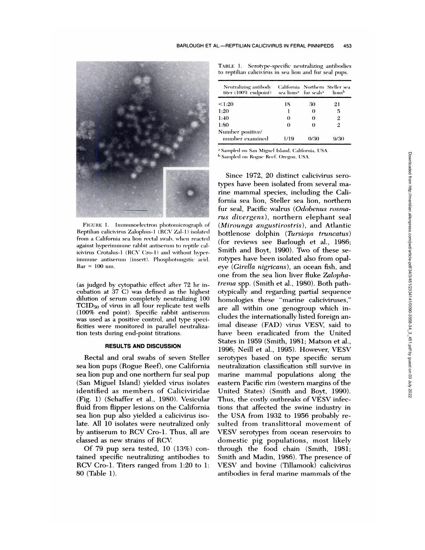

FIGURE 1. Immunoelectron photomicrograph of Reptilian calicivirius Zalophius- I (RCV *Zal-* I) isolated from aCalifornia sea lion rectal swab. when reacted against hyperimmune rabbit antiserum to reptile calicivirus Crotalus-1 (RCV Cro-1) and without hvperimmune antiserum (insert). Phosphotungstic acid.  $Bar = 100$  nm.

(as judged by cytopathic effect after 72 hr incubation at 37 C) was defined as the highest dilution of serum completely neutralizing 100 TCID<sub>50</sub> of virus in all four replicate test wells (100% end point). Specific rabbit antisenurn was used as a positive control, and type specificities were monitored in parallel neutralization tests during end-point titrations.

# **RESULTS AND DISCUSSION**

Rectal and oral swabs of seven Steller sea lion pups (Rogue Reef), one California sea lion pup and one northern fur seal pup (San Miguel Island) yielded virus isolates identified as members of Caliciviridae (Fig. 1) (Schaffer et al., 1980). Vesicular fluid from flipper lesions on the California sea lion pup also yielded a calicivirus isolate. All 10 isolates were neutralized only by antiserum to RCV Cro-1. Thus, all are classed as new strains of RCV

Of 79 pup sera tested, 10 (13%) contained specific neutralizing antibodies to RCV Cro-1. Titers ranged from 1:20 to 1: 80 (Table 1).

TABLE 1. Serotype-specific neutralizing antibodies to reptilian calicivirus in sea lion and fur seal pups.

| Neutralizing antibody<br>titer (100% endpoint) | sea lions <sup>a</sup> fur seals <sup>a</sup> |      | California Northern Steller sea<br>lionsb |
|------------------------------------------------|-----------------------------------------------|------|-------------------------------------------|
| < 1:20                                         | 18                                            | 30   | 21                                        |
| 1:20                                           |                                               | 0    | 5                                         |
| 1:40                                           | $_{\odot}$                                    | 0    | 2                                         |
| 1:80                                           | 0                                             | 0    | 2                                         |
| Number positive/<br>number examined            | 1/19                                          | 0/30 | 9/30                                      |

<sup>a</sup> Sampled on San Miguel Island, California. USA.

<sup>b</sup> Sampled on Rogue Reef. Oregon. USA.

Since 1972, 20 distinct calicivirus serotypes have been isolated from several marine mammal species, including the California sea lion, Steller sea lion, northern fur seal, Pacific walrus (Odobenus rosma*ms divergens),* northern elephant seal *(Mirounga angustirostris),* and Atlantic bottlenose dolphin *(Tursiops truncatus)* (for reviews see Barlough et al., 1986; Smith and Bovt, 1990). Two of these serotypes have been isolated also from opal**eye** *(Girella nigricans),* an ocean fish, and one from the sea lion liver fluke *Zalophatrerna* spp. (Smith et al., 1980). Both pathotypically and regarding partial sequence homologies these "marine caliciviruses," are all within one genogroup which includes the internationally listed foreign animal disease (FAD) virus VESV, said to have been eradicated from the United States in 1959 (Smith, 1981; Matson et al., 1996; Neill et al., 1995). However, VESV serotypes based on type specific serum neutralization classification still survive in marine mammal populations along the eastern Pacific rim (western margins of the United States) (Smith and Boyt, 1990). Thus, the costly outbreaks of VESV infections that affected the swine industry in the USA from 1932 to 1956 probably re sulted from translittoral movement of VESV serotypes from ocean reservoirs to domestic pig populations, most likely through the food chain (Smith, 1981; Smith and Madin, 1986). The presence of VESV and bovine (Tillamook) calicivirus antibodies in feral marine mammals of the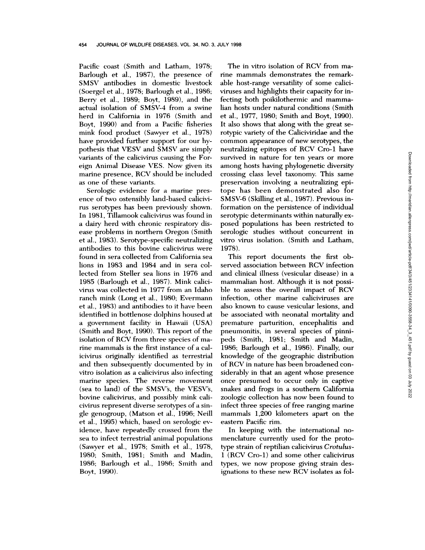Pacific coast (Smith and Latham, 1978; Barlough et al., 1987), the presence of SMSV antibodies in domestic livestock (Soergel et al., 1978; Barlough et al., 1986; Berry et al., 1989; Boyt, 1989), and the actual isolation of SMSV-4 from a swine herd in California in 1976 (Smith and Boyt, 1990) and from a Pacific fisheries mink food product (Sawyer et al., 1978) have provided further support for our hypothesis that VESV and SMSV are simply variants of the calicivirus causing the Foreign Animal Disease VES. Now given its marine presence, RCV should be included as one of these variants.

Serologic evidence for a marine pres ence of two ostensibly land-based calicivirus serotypes has been previously shown. In 1981, Tillamook calicivirus was found in a dairy herd with chronic respiratory dis ease problems in northern Oregon (Smith et al., 1983). Serotype-specific neutralizing antibodies to this bovine calicivirus were found in sera collected from California sea lions in 1983 and 1984 and in sera collected from Steller sea lions in 1976 and 1985 (Barlough et al., 1987). Mink calicivirus was collected in 1977 from an Idaho ranch mink (Long et al., 1980; Evermann et al., 1983) and antibodies to it have been identified in bottlenose dolphins housed at a government facility in Hawaii (USA) (Smith and Boyt, 1990). This report of the isolation of RCV from three species of marine mammals is the first instance of a calicivirus originally identified as terrestrial and then subsequently documented by in vitro isolation as a calicivirus also infecting marine species. The reverse movement (sea to land) of the SMSV's, the VESV's, bovine calicivirus, and possibly mink calicivirus represent diverse serotypes of a single genogroup, (Matson et al., 1996; Neill et al., 1995) which, based on serologic evidence, have repeatedly crossed from the sea to infect terrestrial animal populations (Sawyer et al., 1978; Smith et al., 1978, 1980; Smith, 1981; Smith and Madin, 1986; Barlough et al., 1986; Smith and Boyt, 1990).

The in vitro isolation of RCV from marine mammals demonstrates the remarkable host-range versatility of some caliciviruses and highlights their capacity for infecting both poikilothermic and mammalian hosts under natural conditions (Smith et al., 1977, 1980; Smith and Boyt, 1990). It also shows that along with the great serotypic variety of the Caliciviridae and the common appearance of new serotypes, the neutralizing epitopes of RCV Cro-1 have survived in nature for ten years or more among hosts having phylogenetic diversity crossing class level taxonomy. This same preservation involving a neutralizing epitope has been demonstrated also for SMSV-6 (Skilling et al., 1987). Previous information on the persistence of individual serotypic determinants within naturally ex posed populations has been restricted to serologic studies without concurrent in vitro virus isolation. (Smith and Latham, 1978).

This report documents the first observed association between RCV infection and clinical illness (vesicular disease) in a mammalian host. Although it is not possible to assess the overall impact of RCV infection, other marine caliciviruses are also known to cause vesicular lesions, and be associated with neonatal mortality and premature parturition, encephalitis and pneumonitis, in several species of pinnipeds (Smith, 1981; Smith and Madin, 1986; Barlough et al., 1986). Finally, our knowledge of the geographic distribution of RCV in nature has been broadened con siderably in that an agent whose presence once presumed to occur only in captive snakes and frogs in a southern California zoologic collection has now been found to infect three species of free ranging marine mammals 1,200 kilometers apart on the eastern Pacific rim.

In keeping with the international no menclature currently used for the prototype strain of reptilian calicivirus *Crotulus-*1 (RCV Cro-1) and some other calicivirus types, we now propose giving strain designations to these new RCV isolates as fol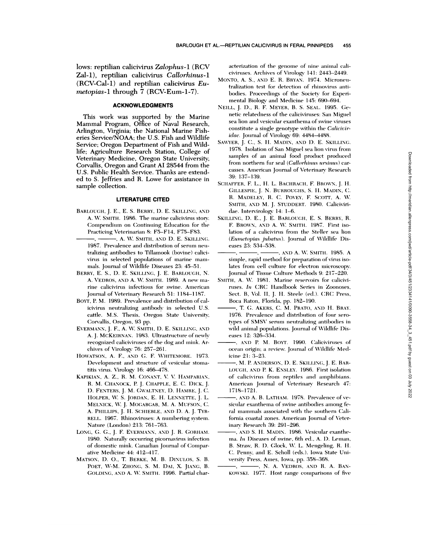lows: reptilian calicivirus Zalophus-1 (RCV Zal-1), reptilian calicivirus Callorhinus-1 (RCV-Cal-1) and reptilian calicivirus Eumetopias-1 through 7 (RCV-Eum-1-7).

# **ACKNOWLEDGMENTS**

This work was supported by the Marine Mammal Program, Office of Naval Research, Arlington, Virginia; the National Marine Fisheries Service/NOAA; the U.S. Fish and Wildlife Service; Oregon Department of Fish and Wildlife; Agriculture Research Station, College of Veterinary Medicine, Oregon State University, Corvallis, Oregon and Grant AI 28544 from the U.S. Public Health Service. Thanks are extended to S. Jeffries and R. Lowe for assistance in sample collection.

## **LITERATURE CITED**

- BARLOUGH, J. E., E. S. BERRY, D. E. SKILLING, AND A. W. SMITH. 1986. The marine calicivirus story. Compendium on Continuing Education for the Practicing Veterinarian 8: F5-F14, F75-F83.
- -, A. W. SMITH, AND D. E. SKILLING. 1987. Prevalence and distribution of serum neutralizing antibodies to Tillamook (bovine) calicivirus in selected populations of marine mammals. Journal of Wildlife Diseases 23: 45-51.
- BERRY, E. S., D. E. SKILLING, J. E. BARLOUGH, N. A. VEDROS, AND A. W. SMITH. 1989. A new marine calicivirus infectious for swine. American Journal of Veterinary Research 51: 1184-1187.
- BOYT, P. M. 1989. Prevalence and distribution of calicivirus neutralizing antibody in selected U.S. cattle. M.S. Thesis, Oregon State University, Corvallis, Oregon, 93 pp.
- EVERMANN, J. F., A. W. SMITH, D. E. SKILLING, AND A. J. MCKEIRNAN. 1983. Ultrastructure of newly recognized caliciviruses of the dog and mink. Archives of Virology 76: 257-261.
- HOWATSON, A. F., AND G. F. WHITEMORE. 1973. Development and structure of vesicular stomatitis virus. Virology 16: 466-478.
- KAPIKIAN, A. Z., R. M. CONANT, V. V. HAMPARIAN, R. M. CHANOCK, P. J. CHAPPLE, E. C. DICK, J. D. FENTERS, J. M. GWALTNEY, D. HAMRE, J. C. HOLPER, W. S. JORDAN, E. H. LENNETTE, J. L. MELNICK, W. J. MOGABGAB, M. A. MUFSON, C. A. PHILLIPS, J. H. SCHIEBLE, AND D. A. J. TYR-RELL. 1967. Rhinoviruses: A numbering system. Nature (London) 213: 761-763.
- LONG, G. G., J. F. EVERMANN, AND J. R. GORHAM. 1980. Naturally occurring picornavirus infection of domestic mink. Canadian Journal of Comparative Medicine 44: 412-417.
- MATSON, D. O., T. BERKE, M. B. DINULOS, S. B. POET, W-M. ZHONG, S. M. DAI, X. JIANG, B. GOLDING, AND A. W. SMITH. 1996. Partial char-

acterization of the genome of nine animal caliciviruses. Archives of Virology 141: 2443-2449.

- MONTO, A. S., AND E. R. BRYAN. 1974. Microneutralization test for detection of rhinovirus antibodies. Proceedings of the Society for Experimental Biology and Medicine 145: 690-694.
- NEILL, J. D., R. F. MEYER, B. S. SEAL. 1995. Genetic relatedness of the caliciviruses: San Miguel sea lion and vesicular exanthema of swine viruses constitute a single genotype within the Caliciviridae. Journal of Virology 69: 4484-4488.
- SAWYER, J. C., S. H. MADIN, AND D. E. SKILLING. 1978. Isolation of San Miguel sea lion virus from samples of an animal food product produced from northern fur seal (Callorhinus ursinus) carcasses. American Journal of Veterinary Research 39: 137-139.
- SCHAFFER, F. L., H. L. BACHRACH, F. BROWN, J. H. GILLESPIE, J. N. BURROUGHS, S. H. MADIN, C. R. MADELEY, R. C. POVEY, F. SCOTT, A. W. SMITH, AND M. J. STUDDERT. 1980. Caliciviridae. Intervirology 14: 1-6.
- SKILLING, D. E., J. E. BARLOUGH, E. S. BERRY, R. F. BROWN, AND A. W. SMITH. 1987. First isolation of a calicivirus from the Steller sea lion (Eumetopias jubatus). Journal of Wildlife Diseases 23: 534-538.
- -, AND A. W. SMITH. 1985. A  $-$  , and an analysis of  $$ simple, rapid method for preparation of virus isolates from cell culture for electron microscopy. Journal of Tissue Culture Methods 9: 217-220.
- SMITH, A. W. 1981. Marine reservoirs for caliciviruses. In CRC Handbook Series in Zoonoses, Sect. B, Vol. II, J. H. Steele (ed.). CRC Press, Boca Raton, Florida, pp. 182-190.
- -, T. G. AKERS, C. M. PRATO, AND H. BRAY. 1976. Prevalence and distribution of four serotypes of SMSV serum neutralizing antibodies in wild animal populations. Journal of Wildlife Diseases 12: 326-334.
- -, AND P. M. BOYT. 1990. Caliciviruses of ocean origin; a review. Journal of Wildlife Medicine 21: 3-23.
- , M. P. ANDERSON, D. E. SKILLING, J. E. BAR-LOUGH, AND P. K. ENSLEY. 1986. First isolation of calicivirus from reptiles and amphibians. American Journal of Veterinary Research 47: 1718-1721.
- , AND A. B. LATHAM. 1978. Prevalence of vesicular exanthema of swine antibodies among feral mammals associated with the southern California coastal zones. American Journal of Veterinary Research 39: 291-296.
- , AND S. H. MADIN. 1986. Vesicular exanthema. In Diseases of swine, 6th ed., A. D. Leman, B. Straw, R. D. Glock, W. L. Mengeling, R. H. C. Penny, and E. Scholl (eds.). Iowa State University Press, Ames, Iowa, pp. 358-368.
- -, N. A. VEDROS, AND R. A. BAN-- -KOWSKI. 1977. Host range comparisons of five